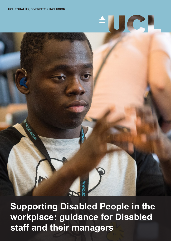# UCL  $\frac{2}{\text{min}}$

**Supporting Disabled People in the workplace: guidance for Disabled staff and their managers**

**MWW.UC**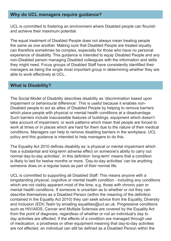# **Why do UCL managers require guidance?**

UCL is committed to fostering an environment where Disabled people can flourish and achieve their maximum potential.

The equal treatment of Disabled People does not always mean treating people the same as one another. Making sure that Disabled People are treated equally can therefore sometimes be complex, especially for those who have no personal experience of disability. This guidance is intended to equip Disabled People and any non-Disabled person managing Disabled colleagues with the information and skills they might need. Focus groups of Disabled Staff have consistently identified their managers as being the single most important group in determining whether they are able to work effectively at UCL.

# **What is Disability?**

The Social Model of Disability describes disability as 'discrimination based upon impairment or behavioural difference'. This is useful because it enables non-Disabled people to act as allies of Disabled People by helping to remove barriers which place people with physical or mental health conditions at a disadvantage. Such barriers include inaccessible features of buildings, equipment which doesn't take account of impairment, or work patterns which mean that people are forced to work at times or in places which are hard for them due to the nature of their medical conditions. Managers can help to remove disabling barriers in the workplace. UCL policy and this guidance is intended to help managers to do this.

The Equality Act 2010 defines disability as 'a physical or mental impairment which has a substantial and long-term adverse effect on someone's ability to carry out normal day-to-day activities'. In this definition 'long-term' means that a condition is likely to last for twelve months or more. 'Day-to-day activities' can be anything someone does on a regular basis as part of their normal life.

UCL is committed to supporting all Disabled Staff. This means anyone with a longstanding physical, cognitive or mental health condition - including any conditions which are not visibly apparent most of the time, e.g. those with chronic pain or mental health conditions. If someone is uncertain as to whether or not they can describe themselves as a Disabled Person (within the meaning of the definition contained in the Equality Act 2010) they can seek advice from the Equality, Diversity and Inclusion (EDI) Team by emailing [equalities@ucl.ac.uk](mailto:equalities@ucl.ac.uk). Progressive conditions such as HIV/AIDS, Cancer and Multiple Sclerosis are covered by the Equality Act from the point of diagnosis, regardless of whether or not an individual's day to day activities are affected. If the effects of a condition are managed through use of medication, a prosthesis or other equipment meaning that day-to-day activities are not affected, an individual can still be defined as a Disabled Person within the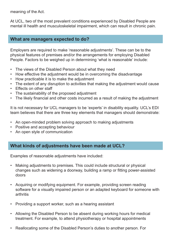meaning of the Act.

At UCL, two of the most prevalent conditions experienced by Disabled People are mental ill health and musculoskeletal impairment, which can result in chronic pain.

#### **What are managers expected to do?**

Employers are required to make 'reasonable adjustments'. These can be to the physical features of premises and/or the arrangements for employing Disabled People. Factors to be weighed up in determining 'what is reasonable' include:

- The views of the Disabled Person about what they need
- How effective the adjustment would be in overcoming the disadvantage
- How practicable it is to make the adjustment
- The extent of any disruption to activities that making the adjustment would cause
- Effects on other staff
- The sustainability of the proposed adjustment
- The likely financial and other costs incurred as a result of making the adjustment

It is not necessary for UCL managers to be 'experts' in disability equality. UCL's EDI team believes that there are three key elements that managers should demonstrate:

- An open-minded problem solving approach to making adjustments
- Positive and accepting behaviour
- An open style of communication

# **What kinds of adjustments have been made at UCL?**

Examples of reasonable adjustments have included:

- Making adjustments to premises. This could include structural or physical changes such as widening a doorway, building a ramp or fitting power-assisted doors
- Acquiring or modifying equipment. For example, providing screen reading software for a visually impaired person or an adapted keyboard for someone with arthritis
- Providing a support worker, such as a hearing assistant
- Allowing the Disabled Person to be absent during working hours for medical treatment. For example, to attend physiotherapy or hospital appointments
- Reallocating some of the Disabled Person's duties to another person. For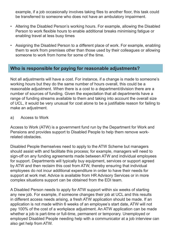example, if a job occasionally involves taking files to another floor, this task could be transferred to someone who does not have an ambulatory impairment.

- Altering the Disabled Person's working hours. For example, allowing the Disabled Person to work flexible hours to enable additional breaks minimising fatigue or enabling travel at less busy times
- Assigning the Disabled Person to a different place of work. For example, enabling them to work from premises other than those used by their colleagues or allowing someone to work from home for some of the time.

# **Who is responsible for paying for reasonable adjustments?**

Not all adjustments will have a cost. For instance, if a change is made to someone's working hours but they do the same number of hours overall, this could be a reasonable adjustment. When there is a cost to a department/division there are a number of sources of funding. Given the expectation that all departments have a range of funding streams available to them and taking into account the overall size of UCL, it would be very unusual for cost alone to be a justifiable reason for failing to make an adjustment.

#### a) Access to Work

Access to Work (ATW) is a government fund run by the Department for Work and Pensions and provides support to Disabled People to help them remove workrelated obstacles.

Disabled People themselves need to apply to the ATW Scheme but managers should assist with and facilitate this process; for example, managers will need to sign-off on any funding agreements made between ATW and individual employees for support. Departments will typically buy equipment, services or support agreed by ATW and then reclaim this cost from ATW, thereby ensuring that individual employees do not incur additional expenditure in order to have their needs for support at work met. Advice is available from HR Advisory Services or in more complex situations support can be obtained from the EDI team.

A Disabled Person needs to apply for ATW support within six weeks of starting any new job. For example, if someone changes their job at UCL and this results in different access needs arising, a fresh ATW application should be made. If an application is not made within 6 weeks of an employee's start date, ATW will not pay 100% of the cost of a workplace adjustment. An ATW application can be made whether a job is part-time or full-time, permanent or temporary. Unemployed or employed Disabled People needing help with a communicator at a job interview can also get help from ATW.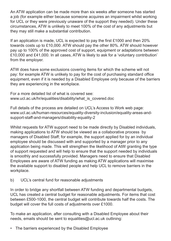An ATW application can be made more than six weeks after someone has started a job (for example either because someone acquires an impairment whilst working for UCL or they were previously unaware of the support they needed). Under these circumstances, ATW is unlikely to meet 100% of the cost of any adjustments but they may still make a substantial contribution.

If an application is made, UCL is expected to pay the first £1000 and then 20% towards costs up to £10,000. ATW should pay the other 80%. ATW should however pay up to 100% of the approved cost of support, equipment or adaptations between £10,000 and £41,000. In all cases, ATW is likely to ask for a 'voluntary contribution' from the employer.

ATW does have some exclusions covering items for which the scheme will not pay: for example ATW is unlikely to pay for the cost of purchasing standard office equipment, even if it is needed by a Disabled Employee only because of the barriers they are experiencing in the workplace.

For a more detailed list of what is covered see: [www.ucl.ac.uk/hr/equalities/disability/what\\_is\\_covered.doc](www.ucl.ac.uk/hr/equalities/disability/what_is_covered.doc)

Full details of the process are detailed on UCL's Access to Work web page: [www.ucl.ac.uk/human-resources/equality-diversity-inclusion/equality-areas-and](www.ucl.ac.uk/human-resources/equality-diversity-inclusion/equality-areas-and-support-staff-and-managers/disability)[support-staff-and-managers/disability](www.ucl.ac.uk/human-resources/equality-diversity-inclusion/equality-areas-and-support-staff-and-managers/disability)-equality-2

Whilst requests for ATW support need to be made directly by Disabled individuals, making applications to ATW should be viewed as a collaborative process by managers of Disabled Staff; for example, the support applied for by an individual employee should be discussed with and supported by a manager prior to any application being made. This will strengthen the likelihood of AtW granting the type of support requested and will help to ensure that the support needed by individuals is smoothly and successfully provided. Managers need to ensure that Disabled Employees are aware of ATW funding as making ATW applications will maximise the available support to disabled people and help UCL to remove barriers in the workplace.

#### b) UCL's central fund for reasonable adjustments

In order to bridge any shortfall between ATW funding and departmental budgets, UCL has created a central budget for reasonable adjustments. For items that cost between £500-1000, the central budget will contribute towards half the costs. The budget will cover the full costs of adjustments over £1000.

To make an application, after consulting with a Disabled Employee about their needs, emails should be sent to [equalities@ucl.ac.uk](mailto:equalities@ucl.ac.uk) outlining:

• The barriers experienced by the Disabled Employee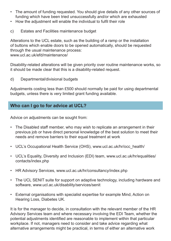- The amount of funding requested. You should give details of any other sources of funding which have been tried unsuccessfully and/or which are exhausted
- How the adjustment will enable the individual to fulfil their role
- c) Estates and Facilities maintenance budget

Alterations to the UCL estate, such as the building of a ramp or the installation of buttons which enable doors to be opened automatically, should be requested through the usual maintenance process: <www.ucl.ac.uk/efd/maintenance>/

Disability-related alterations will be given priority over routine maintenance works, so it should be made clear that this is a disability-related request.

d) Departmental/divisional budgets

Adjustments costing less than £500 should normally be paid for using departmental budgets, unless there is very limited grant funding available.

# **Who can I go to for advice at UCL?**

Advice on adjustments can be sought from:

- The Disabled staff member, who may wish to replicate an arrangement in their previous job or have direct personal knowledge of the best solution to meet their needs and remove barriers to their equal treatment at work
- UCL's Occupational Health Service (OHS), [www.ucl.ac.uk/hr/occ\\_](www.ucl.ac.uk/hr/occ)health/
- UCL's Equality, Diversity and Inclusion (EDI) team, [www.ucl.ac.uk/hr/equalities/](www.ucl.ac.uk/hr/equalities/contacts/index.php) [contacts/index.php](www.ucl.ac.uk/hr/equalities/contacts/index.php)
- HR Advisory Services,<www.ucl.ac.uk/hr/consultancy/index.php>
- The UCL SENIT suite for support on adaptive technology, including hardware and software, <www.ucl.ac.uk/disability/services/senit>
- External organisations with specialist expertise for example Mind, Action on Hearing Loss, Diabetes UK.

It is for the manager to decide, in consultation with the relevant member of the HR Advisory Services team and where necessary involving the EDI Team, whether the potential adjustments identified are reasonable to implement within that particular workplace. If not, managers need to consider and take advice regarding what alternative arrangements might be practical, in terms of either an alternative work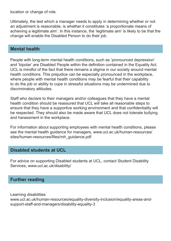location or change of role.

Ultimately, the test which a manager needs to apply in determining whether or not an adjustment is reasonable, is whether it constitutes 'a proportionate means of achieving a legitimate aim'. In this instance, the 'legitimate aim' is likely to be that the change will enable the Disabled Person to do their job.

# **Mental health**

People with long-term mental health conditions, such as 'pronounced depression' and 'bipolar' are Disabled People within the definition contained in the Equality Act. UCL is mindful of the fact that there remains a stigma in our society around mental health conditions. This prejudice can be especially pronounced in the workplace, where people with mental health conditions may be fearful that their capability to do the job or ability to cope in stressful situations may be undermined due to discriminatory attitudes.

Staff who declare to their managers and/or colleagues that they have a mental health condition should be reassured that UCL will take all reasonable steps to ensure that they have a supportive working environment and that confidentiality will be respected. They should also be made aware that UCL does not tolerate bullying and harassment in the workplace.

For information about supporting employees with mental health conditions, please see the mental health guidance for managers, [www.ucl.ac.uk/human-resources/](www.ucl.ac.uk/human-resources/sites/human-resources/files/mh_guidance.pdf) [sites/human-resources/files/mh\\_guidance.pdf](www.ucl.ac.uk/human-resources/sites/human-resources/files/mh_guidance.pdf)

# **Disabled students at UCL**

For advice on supporting Disabled students at UCL, contact Student Disability Services, [www.ucl.ac.uk/disability/](www.ucl.ac.uk/disability)

### **Further reading**

Learning disabilities www.ucl.ac.uk/human-resources/equality-diversity-inclusion/equality-areas-andsupport-staff-and-managers/disability-equality-3